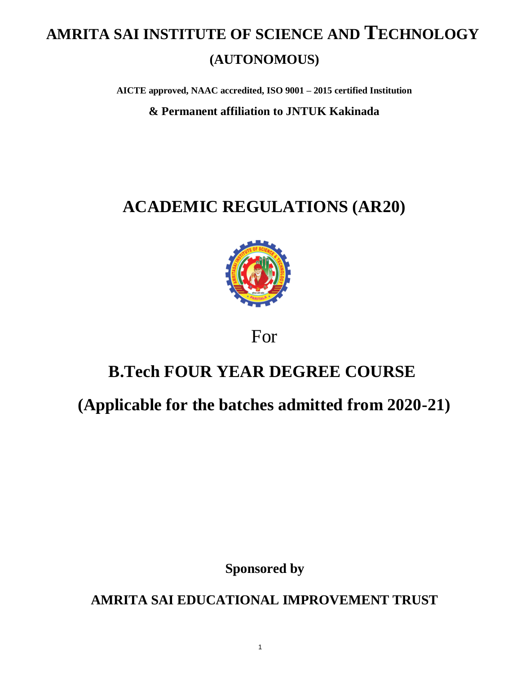# **AMRITA SAI INSTITUTE OF SCIENCE AND TECHNOLOGY (AUTONOMOUS)**

**AICTE approved, NAAC accredited, ISO 9001 – 2015 certified Institution**

**& Permanent affiliation to JNTUK Kakinada**

# **ACADEMIC REGULATIONS (AR20)**



For

## **B.Tech FOUR YEAR DEGREE COURSE**

## **(Applicable for the batches admitted from 2020-21)**

**Sponsored by**

**AMRITA SAI EDUCATIONAL IMPROVEMENT TRUST**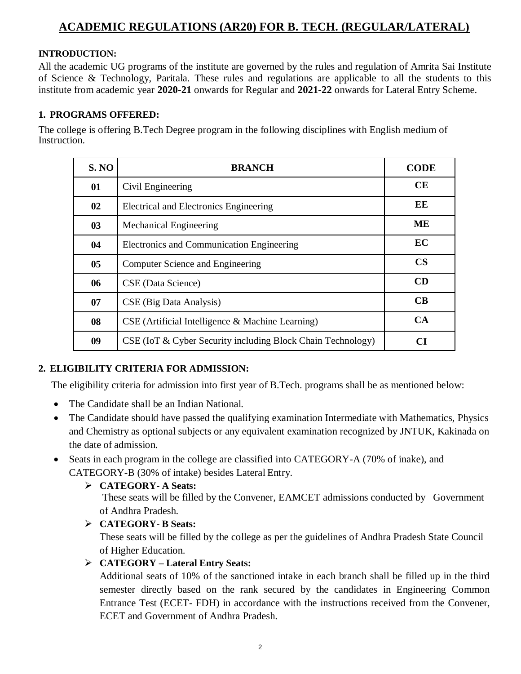### **ACADEMIC REGULATIONS (AR20) FOR B. TECH. (REGULAR/LATERAL)**

#### **INTRODUCTION:**

All the academic UG programs of the institute are governed by the rules and regulation of Amrita Sai Institute of Science & Technology, Paritala. These rules and regulations are applicable to all the students to this institute from academic year **2020-21** onwards for Regular and **2021-22** onwards for Lateral Entry Scheme.

#### **1. PROGRAMS OFFERED:**

The college is offering B.Tech Degree program in the following disciplines with English medium of Instruction.

| <b>S. NO</b>   | <b>BRANCH</b>                                               | <b>CODE</b>   |
|----------------|-------------------------------------------------------------|---------------|
| 01             | Civil Engineering                                           | CE            |
| 02             | Electrical and Electronics Engineering                      | EE            |
| 0 <sub>3</sub> | <b>Mechanical Engineering</b>                               | ME            |
| 04             | Electronics and Communication Engineering                   | EC            |
| 0 <sub>5</sub> | Computer Science and Engineering                            | $\mathbf{CS}$ |
| 06             | CSE (Data Science)                                          | CD            |
| 07             | CSE (Big Data Analysis)                                     | CB            |
| 08             | CSE (Artificial Intelligence & Machine Learning)            | CA            |
| 09             | CSE (IoT & Cyber Security including Block Chain Technology) | CІ            |

#### **2. ELIGIBILITY CRITERIA FOR ADMISSION:**

The eligibility criteria for admission into first year of B.Tech. programs shall be as mentioned below:

- The Candidate shall be an Indian National.
- The Candidate should have passed the qualifying examination Intermediate with Mathematics, Physics and Chemistry as optional subjects or any equivalent examination recognized by JNTUK, Kakinada on the date of admission.
- Seats in each program in the college are classified into CATEGORY-A (70% of inake), and CATEGORY-B (30% of intake) besides Lateral Entry.

#### **CATEGORY- A Seats:**

 These seats will be filled by the Convener, EAMCET admissions conducted by Government of Andhra Pradesh.

#### **CATEGORY- B Seats:**

These seats will be filled by the college as per the guidelines of Andhra Pradesh State Council of Higher Education.

#### **CATEGORY – Lateral Entry Seats:**

Additional seats of 10% of the sanctioned intake in each branch shall be filled up in the third semester directly based on the rank secured by the candidates in Engineering Common Entrance Test (ECET- FDH) in accordance with the instructions received from the Convener, ECET and Government of Andhra Pradesh.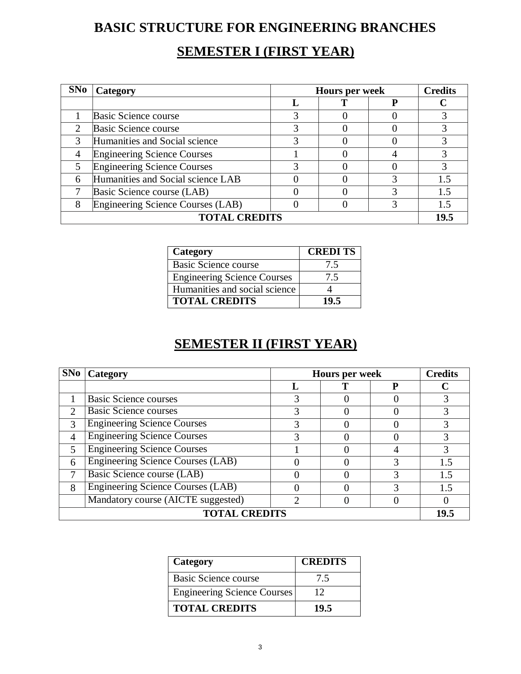## **BASIC STRUCTURE FOR ENGINEERING BRANCHES**

### **SEMESTER I (FIRST YEAR)**

| SNo                  | Category                           | <b>Hours per week</b> | <b>Credits</b> |  |      |
|----------------------|------------------------------------|-----------------------|----------------|--|------|
|                      |                                    |                       |                |  |      |
|                      | Basic Science course               |                       |                |  |      |
| $\mathcal{D}$        | Basic Science course               |                       |                |  |      |
| 3                    | Humanities and Social science      |                       |                |  |      |
|                      | <b>Engineering Science Courses</b> |                       |                |  |      |
|                      | <b>Engineering Science Courses</b> |                       |                |  |      |
| 6                    | Humanities and Social science LAB  |                       |                |  |      |
|                      | Basic Science course (LAB)         |                       |                |  |      |
|                      | Engineering Science Courses (LAB)  |                       |                |  |      |
| <b>TOTAL CREDITS</b> |                                    |                       |                |  | 19.5 |

| Category                           | <b>CREDITS</b> |
|------------------------------------|----------------|
| Basic Science course               | 7.5            |
| <b>Engineering Science Courses</b> | 7.5            |
| Humanities and social science      |                |
| <b>TOTAL CREDITS</b>               | 19.5           |

## **SEMESTER II (FIRST YEAR)**

| SNo                         | Category                                 | <b>Hours per week</b> | <b>Credits</b> |  |      |
|-----------------------------|------------------------------------------|-----------------------|----------------|--|------|
|                             |                                          |                       |                |  |      |
|                             | <b>Basic Science courses</b>             |                       |                |  |      |
| $\mathcal{D}_{\mathcal{L}}$ | <b>Basic Science courses</b>             |                       |                |  |      |
| 3                           | <b>Engineering Science Courses</b>       |                       |                |  |      |
| 4                           | <b>Engineering Science Courses</b>       |                       |                |  |      |
|                             | <b>Engineering Science Courses</b>       |                       |                |  |      |
| 6                           | <b>Engineering Science Courses (LAB)</b> |                       |                |  | 1.5  |
| 7                           | Basic Science course (LAB)               |                       |                |  | 1.5  |
| 8                           | <b>Engineering Science Courses (LAB)</b> |                       |                |  | 1.5  |
|                             | Mandatory course (AICTE suggested)       |                       |                |  |      |
| <b>TOTAL CREDITS</b>        |                                          |                       |                |  | 19.5 |

| Category                           | <b>CREDITS</b> |
|------------------------------------|----------------|
| Basic Science course               | 7.5            |
| <b>Engineering Science Courses</b> | 12             |
| <b>TOTAL CREDITS</b>               | 19.5           |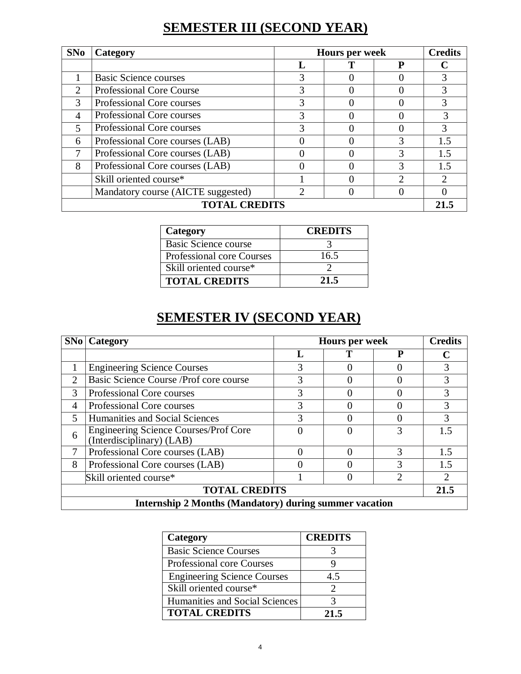## **SEMESTER III (SECOND YEAR)**

| SNo                         | Category                           | <b>Hours per week</b> | <b>Credits</b> |   |               |
|-----------------------------|------------------------------------|-----------------------|----------------|---|---------------|
|                             |                                    |                       |                | D |               |
|                             | <b>Basic Science courses</b>       |                       |                |   |               |
| $\mathcal{D}_{\mathcal{L}}$ | <b>Professional Core Course</b>    |                       |                |   |               |
| 3                           | Professional Core courses          | 3                     |                |   |               |
| 4                           | Professional Core courses          |                       |                |   | 3             |
| $\overline{\mathcal{L}}$    | Professional Core courses          | 3                     |                |   | 3             |
| 6                           | Professional Core courses (LAB)    |                       |                |   | 1.5           |
|                             | Professional Core courses (LAB)    |                       |                |   | 15            |
| 8                           | Professional Core courses (LAB)    |                       |                | 3 | 1.5           |
|                             | Skill oriented course*             |                       |                | ◠ | $\mathcal{D}$ |
|                             | Mandatory course (AICTE suggested) | っ                     |                |   |               |
| <b>TOTAL CREDITS</b>        |                                    |                       |                |   | 21.           |

| Category                         | <b>CREDITS</b> |
|----------------------------------|----------------|
| Basic Science course             |                |
| <b>Professional core Courses</b> | 16.5           |
| Skill oriented course*           |                |
| <b>TOTAL CREDITS</b>             | 21.5           |

## **SEMESTER IV (SECOND YEAR)**

|                                                               | <b>SNo</b>   Category                                              | <b>Credits</b><br>Hours per week |  |   |      |
|---------------------------------------------------------------|--------------------------------------------------------------------|----------------------------------|--|---|------|
|                                                               |                                                                    |                                  |  | D |      |
|                                                               | <b>Engineering Science Courses</b>                                 | 3                                |  |   | 3    |
| $\mathcal{D}_{\mathcal{L}}$                                   | Basic Science Course / Prof core course                            | 3                                |  |   | 3    |
| 3                                                             | Professional Core courses                                          |                                  |  |   | 3    |
| 4                                                             | Professional Core courses                                          |                                  |  |   | 3    |
| $\overline{\phantom{0}}$                                      | <b>Humanities and Social Sciences</b>                              | 3                                |  |   | 3    |
| 6                                                             | Engineering Science Courses/Prof Core<br>(Interdisciplinary) (LAB) |                                  |  | 3 | 1.5  |
|                                                               | Professional Core courses (LAB)                                    |                                  |  | 3 | 1.5  |
| 8                                                             | Professional Core courses (LAB)                                    |                                  |  |   | 1.5  |
| 2<br>Skill oriented course*                                   |                                                                    |                                  |  |   |      |
| <b>TOTAL CREDITS</b>                                          |                                                                    |                                  |  |   | 21.5 |
| <b>Internship 2 Months (Mandatory) during summer vacation</b> |                                                                    |                                  |  |   |      |

| Category                           | <b>CREDITS</b> |
|------------------------------------|----------------|
| <b>Basic Science Courses</b>       |                |
| Professional core Courses          |                |
| <b>Engineering Science Courses</b> | 4.5            |
| Skill oriented course*             |                |
| Humanities and Social Sciences     |                |
| <b>TOTAL CREDITS</b>               | 21 5           |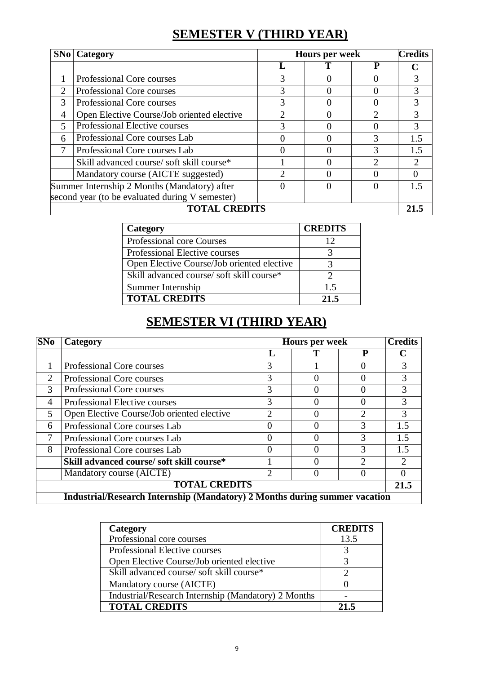## **SEMESTER V (THIRD YEAR)**

|                | <b>SNo</b>   Category                             |   | <b>Hours per week</b> |   |                             |
|----------------|---------------------------------------------------|---|-----------------------|---|-----------------------------|
|                |                                                   |   |                       |   |                             |
|                | Professional Core courses                         | 3 | $\mathbf{\Omega}$     |   | 3                           |
| 2              | Professional Core courses                         |   |                       |   |                             |
| 3              | Professional Core courses                         |   |                       |   | 3                           |
| $\overline{4}$ | Open Elective Course/Job oriented elective        |   | $\Omega$              | 2 | 3                           |
| 5              | Professional Elective courses                     |   |                       |   | 3                           |
| 6              | Professional Core courses Lab                     |   |                       |   | 1.5                         |
| 7              | Professional Core courses Lab                     |   | 0                     | 3 | 1.5                         |
|                | Skill advanced course/soft skill course*          |   | $\mathbf{\Omega}$     |   | $\mathcal{D}_{\mathcal{A}}$ |
|                | Mandatory course (AICTE suggested)                |   |                       |   |                             |
|                | Summer Internship 2 Months (Mandatory) after<br>0 |   |                       |   | 15                          |
|                | second year (to be evaluated during V semester)   |   |                       |   |                             |
|                | <b>TOTAL CREDITS</b>                              |   |                       |   |                             |

| Category                                   | <b>CREDITS</b> |
|--------------------------------------------|----------------|
| Professional core Courses                  |                |
| Professional Elective courses              |                |
| Open Elective Course/Job oriented elective |                |
| Skill advanced course/soft skill course*   |                |
| Summer Internship                          | 1.5            |
| <b>TOTAL CREDITS</b>                       | 21.5           |

## **SEMESTER VI (THIRD YEAR)**

| <b>SNo</b>                  | Category                                                                   | <b>Hours per week</b> |  |   | <b>Credits</b> |
|-----------------------------|----------------------------------------------------------------------------|-----------------------|--|---|----------------|
|                             |                                                                            |                       |  | P |                |
|                             | Professional Core courses                                                  | 3                     |  |   | 3              |
| $\mathcal{D}_{\mathcal{L}}$ | Professional Core courses                                                  |                       |  |   |                |
| 3                           | Professional Core courses                                                  | 3                     |  |   | 3              |
| 4                           | Professional Elective courses                                              | 3                     |  |   | 3              |
| 5                           | Open Elective Course/Job oriented elective                                 |                       |  |   |                |
| 6                           | Professional Core courses Lab                                              |                       |  | 3 | 1.5            |
|                             | Professional Core courses Lab                                              |                       |  |   | 1.5            |
| 8                           | Professional Core courses Lab                                              |                       |  |   | 1.5            |
|                             | Skill advanced course/ soft skill course*                                  |                       |  | 2 | っ              |
|                             | Mandatory course (AICTE)                                                   |                       |  |   |                |
| <b>TOTAL CREDITS</b>        |                                                                            |                       |  |   | 21.5           |
|                             | Industrial/Research Internship (Mandatory) 2 Months during summer vacation |                       |  |   |                |

| Category                                            | <b>CREDITS</b> |
|-----------------------------------------------------|----------------|
| Professional core courses                           | 13.5           |
| Professional Elective courses                       |                |
| Open Elective Course/Job oriented elective          |                |
| Skill advanced course/ soft skill course*           |                |
| Mandatory course (AICTE)                            |                |
| Industrial/Research Internship (Mandatory) 2 Months |                |
| <b>TOTAL CREDITS</b>                                | 21.5           |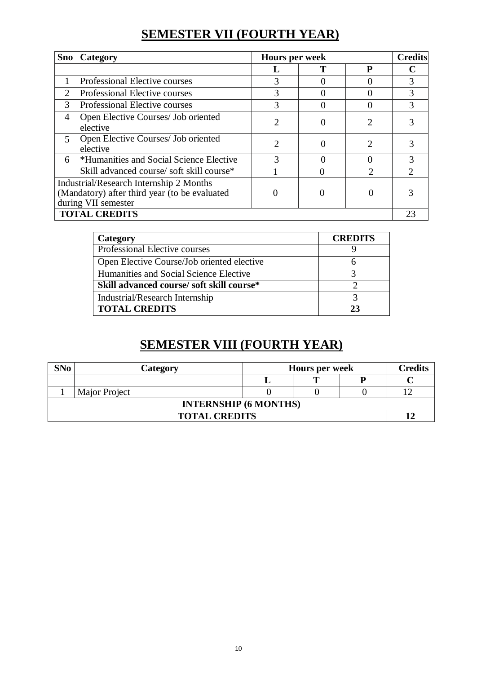## **SEMESTER VII (FOURTH YEAR)**

| <b>Sno</b>                                                                                                             | Category                                        | <b>Hours per week</b>       |  | <b>Credits</b>              |   |
|------------------------------------------------------------------------------------------------------------------------|-------------------------------------------------|-----------------------------|--|-----------------------------|---|
|                                                                                                                        |                                                 |                             |  | P                           |   |
|                                                                                                                        | Professional Elective courses                   | 3                           |  |                             | 3 |
| 2                                                                                                                      | Professional Elective courses                   | 3                           |  |                             | 3 |
| 3                                                                                                                      | Professional Elective courses                   | 3                           |  |                             | 3 |
| 4                                                                                                                      | Open Elective Courses/ Job oriented<br>elective | $\overline{2}$              |  | $\mathcal{D}_{\mathcal{A}}$ |   |
| $\mathfrak{S}$                                                                                                         | Open Elective Courses/ Job oriented<br>elective | $\mathcal{D}_{\mathcal{L}}$ |  |                             |   |
| 6                                                                                                                      | *Humanities and Social Science Elective         | 3                           |  |                             | 3 |
| Skill advanced course/soft skill course*                                                                               |                                                 |                             |  |                             |   |
| <b>Industrial/Research Internship 2 Months</b><br>(Mandatory) after third year (to be evaluated<br>during VII semester |                                                 |                             |  |                             |   |
| <b>TOTAL CREDITS</b>                                                                                                   |                                                 |                             |  | 23                          |   |

| Category                                   | <b>CREDITS</b> |
|--------------------------------------------|----------------|
| Professional Elective courses              |                |
| Open Elective Course/Job oriented elective |                |
| Humanities and Social Science Elective     |                |
| Skill advanced course/ soft skill course*  |                |
| Industrial/Research Internship             |                |
| <b>TOTAL CREDITS</b>                       | 23             |

## **SEMESTER VIII (FOURTH YEAR)**

| <b>SNo</b>                   | Category      |  | <b>Hours per week</b> |  |  |
|------------------------------|---------------|--|-----------------------|--|--|
|                              |               |  |                       |  |  |
|                              | Major Project |  |                       |  |  |
| <b>INTERNSHIP (6 MONTHS)</b> |               |  |                       |  |  |
| <b>TOTAL CREDITS</b>         |               |  |                       |  |  |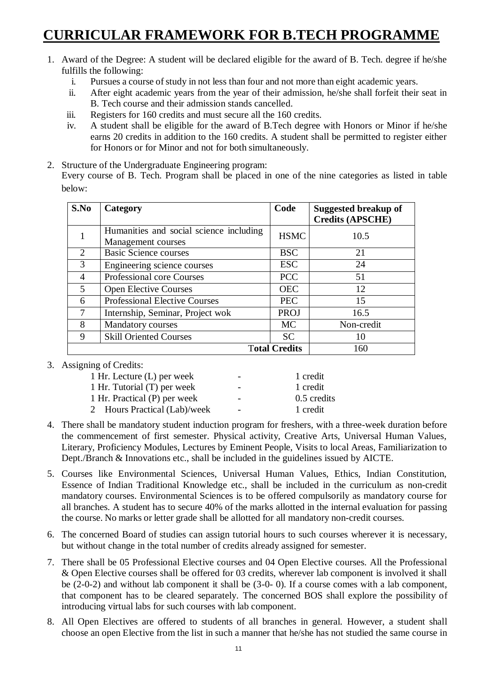## **CURRICULAR FRAMEWORK FOR B.TECH PROGRAMME**

- 1. Award of the Degree: A student will be declared eligible for the award of B. Tech. degree if he/she fulfills the following:
	- i. Pursues a course of study in not less than four and not more than eight academic years.
	- ii. After eight academic years from the year of their admission, he/she shall forfeit their seat in B. Tech course and their admission stands cancelled.
	- iii. Registers for 160 credits and must secure all the 160 credits.
	- iv. A student shall be eligible for the award of B.Tech degree with Honors or Minor if he/she earns 20 credits in addition to the 160 credits. A student shall be permitted to register either for Honors or for Minor and not for both simultaneously.
- 2. Structure of the Undergraduate Engineering program:

Every course of B. Tech. Program shall be placed in one of the nine categories as listed in table below:

| S.No                        | Category                                                      | Code        | Suggested breakup of<br><b>Credits (APSCHE)</b> |
|-----------------------------|---------------------------------------------------------------|-------------|-------------------------------------------------|
|                             | Humanities and social science including<br>Management courses | <b>HSMC</b> | 10.5                                            |
| 2                           | <b>Basic Science courses</b>                                  | <b>BSC</b>  | 21                                              |
| 3                           | Engineering science courses                                   | <b>ESC</b>  | 24                                              |
| $\overline{4}$              | <b>Professional core Courses</b>                              | <b>PCC</b>  | 51                                              |
| 5                           | <b>Open Elective Courses</b>                                  | <b>OEC</b>  | 12                                              |
| 6                           | <b>Professional Elective Courses</b>                          | <b>PEC</b>  | 15                                              |
| 7                           | Internship, Seminar, Project wok                              | <b>PROJ</b> | 16.5                                            |
| 8                           | Mandatory courses                                             | <b>MC</b>   | Non-credit                                      |
| Q                           | <b>Skill Oriented Courses</b>                                 | <b>SC</b>   | 10                                              |
| <b>Total Credits</b><br>160 |                                                               |             |                                                 |

3. Assigning of Credits:

| 1 Hr. Lecture (L) per week   | $\overline{\phantom{0}}$ | 1 credit    |
|------------------------------|--------------------------|-------------|
| 1 Hr. Tutorial (T) per week  | $\overline{\phantom{0}}$ | 1 credit    |
| 1 Hr. Practical (P) per week | $\overline{\phantom{a}}$ | 0.5 credits |
| 2 Hours Practical (Lab)/week | $\overline{\phantom{a}}$ | 1 credit    |
|                              |                          |             |

- 4. There shall be mandatory student induction program for freshers, with a three-week duration before the commencement of first semester. Physical activity, Creative Arts, Universal Human Values, Literary, Proficiency Modules, Lectures by Eminent People, Visits to local Areas, Familiarization to Dept./Branch & Innovations etc., shall be included in the guidelines issued by AICTE.
- 5. Courses like Environmental Sciences, Universal Human Values, Ethics, Indian Constitution, Essence of Indian Traditional Knowledge etc., shall be included in the curriculum as non-credit mandatory courses. Environmental Sciences is to be offered compulsorily as mandatory course for all branches. A student has to secure 40% of the marks allotted in the internal evaluation for passing the course. No marks or letter grade shall be allotted for all mandatory non-credit courses.
- 6. The concerned Board of studies can assign tutorial hours to such courses wherever it is necessary, but without change in the total number of credits already assigned for semester.
- 7. There shall be 05 Professional Elective courses and 04 Open Elective courses. All the Professional & Open Elective courses shall be offered for 03 credits, wherever lab component is involved it shall be (2-0-2) and without lab component it shall be (3-0- 0). If a course comes with a lab component, that component has to be cleared separately. The concerned BOS shall explore the possibility of introducing virtual labs for such courses with lab component.
- 8. All Open Electives are offered to students of all branches in general. However, a student shall choose an open Elective from the list in such a manner that he/she has not studied the same course in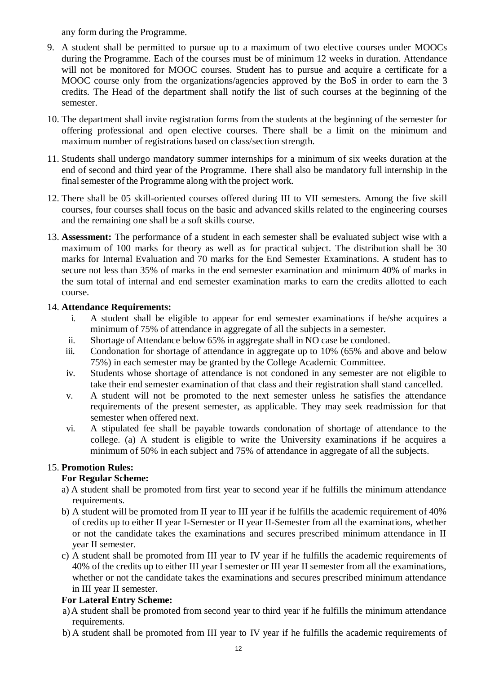any form during the Programme.

- 9. A student shall be permitted to pursue up to a maximum of two elective courses under MOOCs during the Programme. Each of the courses must be of minimum 12 weeks in duration. Attendance will not be monitored for MOOC courses. Student has to pursue and acquire a certificate for a MOOC course only from the organizations/agencies approved by the BoS in order to earn the 3 credits. The Head of the department shall notify the list of such courses at the beginning of the semester.
- 10. The department shall invite registration forms from the students at the beginning of the semester for offering professional and open elective courses. There shall be a limit on the minimum and maximum number of registrations based on class/section strength.
- 11. Students shall undergo mandatory summer internships for a minimum of six weeks duration at the end of second and third year of the Programme. There shall also be mandatory full internship in the final semester of the Programme along with the project work.
- 12. There shall be 05 skill-oriented courses offered during III to VII semesters. Among the five skill courses, four courses shall focus on the basic and advanced skills related to the engineering courses and the remaining one shall be a soft skills course.
- 13. **Assessment:** The performance of a student in each semester shall be evaluated subject wise with a maximum of 100 marks for theory as well as for practical subject. The distribution shall be 30 marks for Internal Evaluation and 70 marks for the End Semester Examinations. A student has to secure not less than 35% of marks in the end semester examination and minimum 40% of marks in the sum total of internal and end semester examination marks to earn the credits allotted to each course.

#### 14. **Attendance Requirements:**

- i. A student shall be eligible to appear for end semester examinations if he/she acquires a minimum of 75% of attendance in aggregate of all the subjects in a semester.
- ii. Shortage of Attendance below 65% in aggregate shall in NO case be condoned.
- iii. Condonation for shortage of attendance in aggregate up to 10% (65% and above and below 75%) in each semester may be granted by the College Academic Committee.
- iv. Students whose shortage of attendance is not condoned in any semester are not eligible to take their end semester examination of that class and their registration shall stand cancelled.
- v. A student will not be promoted to the next semester unless he satisfies the attendance requirements of the present semester, as applicable. They may seek readmission for that semester when offered next.
- vi. A stipulated fee shall be payable towards condonation of shortage of attendance to the college. (a) A student is eligible to write the University examinations if he acquires a minimum of 50% in each subject and 75% of attendance in aggregate of all the subjects.

#### 15. **Promotion Rules:**

#### **For Regular Scheme:**

- a) A student shall be promoted from first year to second year if he fulfills the minimum attendance requirements.
- b) A student will be promoted from II year to III year if he fulfills the academic requirement of 40% of credits up to either II year I-Semester or II year II-Semester from all the examinations, whether or not the candidate takes the examinations and secures prescribed minimum attendance in II year II semester.
- c) A student shall be promoted from III year to IV year if he fulfills the academic requirements of 40% of the credits up to either III year I semester or III year II semester from all the examinations, whether or not the candidate takes the examinations and secures prescribed minimum attendance in III year II semester.

#### **For Lateral Entry Scheme:**

- a)A student shall be promoted from second year to third year if he fulfills the minimum attendance requirements.
- b) A student shall be promoted from III year to IV year if he fulfills the academic requirements of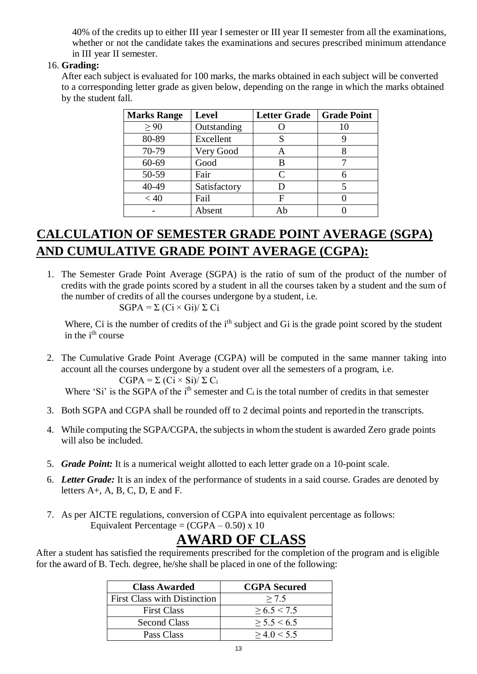40% of the credits up to either III year I semester or III year II semester from all the examinations, whether or not the candidate takes the examinations and secures prescribed minimum attendance in III year II semester.

#### 16. **Grading:**

After each subject is evaluated for 100 marks, the marks obtained in each subject will be converted to a corresponding letter grade as given below, depending on the range in which the marks obtained by the student fall.

| <b>Marks Range</b> | <b>Level</b> | <b>Letter Grade</b> | <b>Grade Point</b> |
|--------------------|--------------|---------------------|--------------------|
| $\geq 90$          | Outstanding  |                     |                    |
| 80-89              | Excellent    | S                   |                    |
| 70-79              | Very Good    | A                   |                    |
| $60 - 69$          | Good         | B                   |                    |
| 50-59              | Fair         | C                   |                    |
| 40-49              | Satisfactory |                     |                    |
| < 40               | Fail         | F                   |                    |
|                    | Absent       | Αh                  |                    |

## **CALCULATION OF SEMESTER GRADE POINT AVERAGE (SGPA) AND CUMULATIVE GRADE POINT AVERAGE (CGPA):**

1. The Semester Grade Point Average (SGPA) is the ratio of sum of the product of the number of credits with the grade points scored by a student in all the courses taken by a student and the sum of the number of credits of all the courses undergone by a student, i.e.

 $SGPA = \Sigma (Ci \times Gi)/\Sigma C_i$ 

Where, Ci is the number of credits of the i<sup>th</sup> subject and Gi is the grade point scored by the student in the i<sup>th</sup> course

2. The Cumulative Grade Point Average (CGPA) will be computed in the same manner taking into account all the courses undergone by a student over all the semesters of a program, i.e.  $CGPA = \Sigma (Ci \times Si)/\Sigma C_i$ 

Where 'Si' is the SGPA of the i<sup>th</sup> semester and  $C_i$  is the total number of credits in that semester

- 3. Both SGPA and CGPA shall be rounded off to 2 decimal points and reportedin the transcripts.
- 4. While computing the SGPA/CGPA, the subjects in whom the student is awarded Zero grade points will also be included.
- 5. *Grade Point:* It is a numerical weight allotted to each letter grade on a 10-point scale.
- 6. *Letter Grade:* It is an index of the performance of students in a said course. Grades are denoted by letters  $A+$ ,  $A$ ,  $B$ ,  $C$ ,  $D$ ,  $E$  and  $F$ .
- 7. As per AICTE regulations, conversion of CGPA into equivalent percentage as follows: Equivalent Percentage =  $(CGPA - 0.50)$  x 10

## **AWARD OF CLASS**

After a student has satisfied the requirements prescribed for the completion of the program and is eligible for the award of B. Tech. degree, he/she shall be placed in one of the following:

| <b>Class Awarded</b>                | <b>CGPA</b> Secured |
|-------------------------------------|---------------------|
| <b>First Class with Distinction</b> | > 7.5               |
| <b>First Class</b>                  | > 6.5 < 7.5         |
| <b>Second Class</b>                 | > 5.5 < 6.5         |
| Pass Class                          | > 4.0 < 5.5         |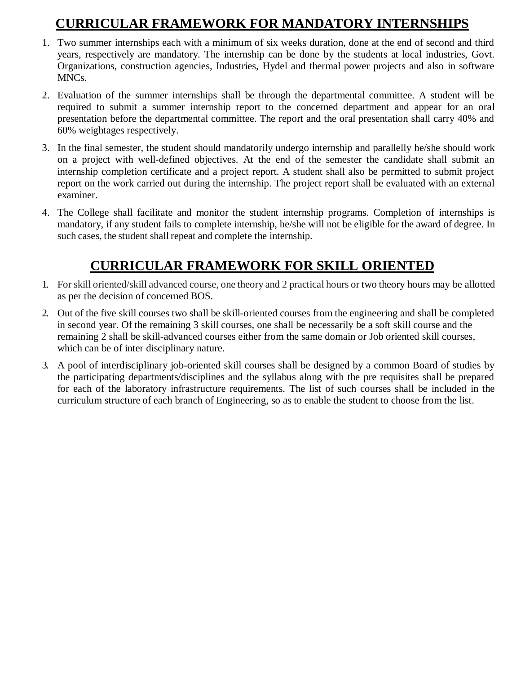## **CURRICULAR FRAMEWORK FOR MANDATORY INTERNSHIPS**

- 1. Two summer internships each with a minimum of six weeks duration, done at the end of second and third years, respectively are mandatory. The internship can be done by the students at local industries, Govt. Organizations, construction agencies, Industries, Hydel and thermal power projects and also in software MNCs.
- 2. Evaluation of the summer internships shall be through the departmental committee. A student will be required to submit a summer internship report to the concerned department and appear for an oral presentation before the departmental committee. The report and the oral presentation shall carry 40% and 60% weightages respectively.
- 3. In the final semester, the student should mandatorily undergo internship and parallelly he/she should work on a project with well-defined objectives. At the end of the semester the candidate shall submit an internship completion certificate and a project report. A student shall also be permitted to submit project report on the work carried out during the internship. The project report shall be evaluated with an external examiner.
- 4. The College shall facilitate and monitor the student internship programs. Completion of internships is mandatory, if any student fails to complete internship, he/she will not be eligible for the award of degree. In such cases, the student shall repeat and complete the internship.

## **CURRICULAR FRAMEWORK FOR SKILL ORIENTED**

- 1. For skill oriented/skill advanced course, one theory and 2 practical hours or two theory hours may be allotted as per the decision of concerned BOS.
- 2. Out of the five skill courses two shall be skill-oriented courses from the engineering and shall be completed in second year. Of the remaining 3 skill courses, one shall be necessarily be a soft skill course and the remaining 2 shall be skill-advanced courses either from the same domain or Job oriented skill courses, which can be of inter disciplinary nature.
- 3. A pool of interdisciplinary job-oriented skill courses shall be designed by a common Board of studies by the participating departments/disciplines and the syllabus along with the pre requisites shall be prepared for each of the laboratory infrastructure requirements. The list of such courses shall be included in the curriculum structure of each branch of Engineering, so as to enable the student to choose from the list.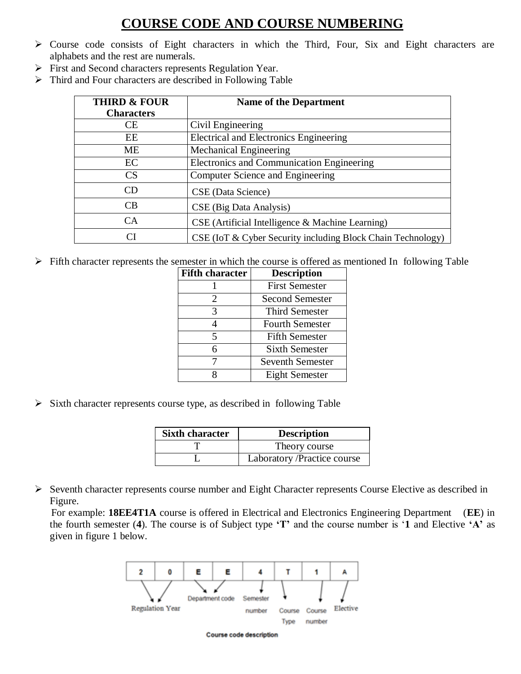### **COURSE CODE AND COURSE NUMBERING**

- Course code consists of Eight characters in which the Third, Four, Six and Eight characters are alphabets and the rest are numerals.
- First and Second characters represents Regulation Year.
- $\triangleright$  Third and Four characters are described in Following Table

| <b>THIRD &amp; FOUR</b> | <b>Name of the Department</b>                               |  |
|-------------------------|-------------------------------------------------------------|--|
| <b>Characters</b>       |                                                             |  |
| CF.                     | Civil Engineering                                           |  |
| EE                      | <b>Electrical and Electronics Engineering</b>               |  |
| ME                      | Mechanical Engineering                                      |  |
| EC                      | <b>Electronics and Communication Engineering</b>            |  |
| CS                      | Computer Science and Engineering                            |  |
| CΒ                      | CSE (Data Science)                                          |  |
| CB.                     | CSE (Big Data Analysis)                                     |  |
| <b>CA</b>               | CSE (Artificial Intelligence & Machine Learning)            |  |
| $\cap$                  | CSE (IoT & Cyber Security including Block Chain Technology) |  |

 $\triangleright$  Fifth character represents the semester in which the course is offered as mentioned In following Table

| <b>Fifth character</b> | <b>Description</b>      |
|------------------------|-------------------------|
|                        | <b>First Semester</b>   |
| 2                      | Second Semester         |
| 3                      | Third Semester          |
| 4                      | <b>Fourth Semester</b>  |
| $\overline{5}$         | <b>Fifth Semester</b>   |
| 6                      | <b>Sixth Semester</b>   |
| 7                      | <b>Seventh Semester</b> |
| R                      | <b>Eight Semester</b>   |

 $\triangleright$  Sixth character represents course type, as described in following Table

| <b>Sixth character</b> | <b>Description</b>          |
|------------------------|-----------------------------|
|                        | Theory course               |
|                        | Laboratory /Practice course |

Seventh character represents course number and Eight Character represents Course Elective as described in Figure.

 For example: **18EE4T1A** course is offered in Electrical and Electronics Engineering Department (**EE**) in the fourth semester (**4**). The course is of Subject type **'T'** and the course number is '**1** and Elective **'A'** as given in figure 1 below.



Course code description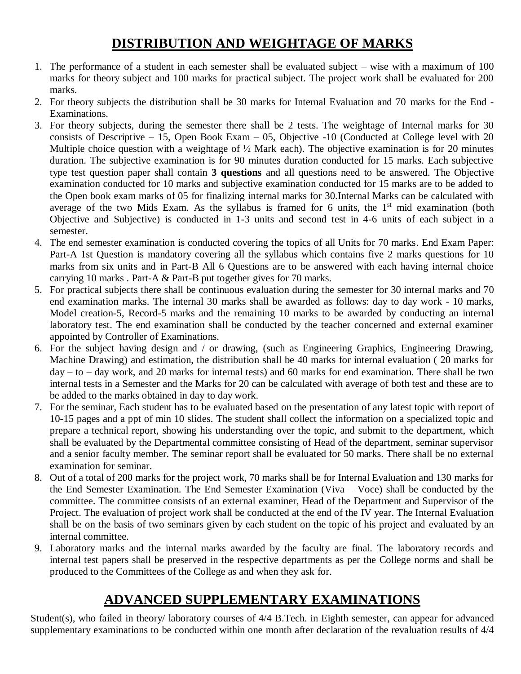## **DISTRIBUTION AND WEIGHTAGE OF MARKS**

- 1. The performance of a student in each semester shall be evaluated subject wise with a maximum of 100 marks for theory subject and 100 marks for practical subject. The project work shall be evaluated for 200 marks.
- 2. For theory subjects the distribution shall be 30 marks for Internal Evaluation and 70 marks for the End Examinations.
- 3. For theory subjects, during the semester there shall be 2 tests. The weightage of Internal marks for 30 consists of Descriptive – 15, Open Book Exam – 05, Objective -10 (Conducted at College level with 20 Multiple choice question with a weightage of  $\frac{1}{2}$  Mark each). The objective examination is for 20 minutes duration. The subjective examination is for 90 minutes duration conducted for 15 marks. Each subjective type test question paper shall contain **3 questions** and all questions need to be answered. The Objective examination conducted for 10 marks and subjective examination conducted for 15 marks are to be added to the Open book exam marks of 05 for finalizing internal marks for 30.Internal Marks can be calculated with average of the two Mids Exam. As the syllabus is framed for 6 units, the  $1<sup>st</sup>$  mid examination (both Objective and Subjective) is conducted in 1-3 units and second test in 4-6 units of each subject in a semester.
- 4. The end semester examination is conducted covering the topics of all Units for 70 marks. End Exam Paper: Part-A 1st Question is mandatory covering all the syllabus which contains five 2 marks questions for 10 marks from six units and in Part-B All 6 Questions are to be answered with each having internal choice carrying 10 marks . Part-A & Part-B put together gives for 70 marks.
- 5. For practical subjects there shall be continuous evaluation during the semester for 30 internal marks and 70 end examination marks. The internal 30 marks shall be awarded as follows: day to day work - 10 marks, Model creation-5, Record-5 marks and the remaining 10 marks to be awarded by conducting an internal laboratory test. The end examination shall be conducted by the teacher concerned and external examiner appointed by Controller of Examinations.
- 6. For the subject having design and / or drawing, (such as Engineering Graphics, Engineering Drawing, Machine Drawing) and estimation, the distribution shall be 40 marks for internal evaluation ( 20 marks for  $day - to - day$  work, and 20 marks for internal tests) and 60 marks for end examination. There shall be two internal tests in a Semester and the Marks for 20 can be calculated with average of both test and these are to be added to the marks obtained in day to day work.
- 7. For the seminar, Each student has to be evaluated based on the presentation of any latest topic with report of 10-15 pages and a ppt of min 10 slides. The student shall collect the information on a specialized topic and prepare a technical report, showing his understanding over the topic, and submit to the department, which shall be evaluated by the Departmental committee consisting of Head of the department, seminar supervisor and a senior faculty member. The seminar report shall be evaluated for 50 marks. There shall be no external examination for seminar.
- 8. Out of a total of 200 marks for the project work, 70 marks shall be for Internal Evaluation and 130 marks for the End Semester Examination. The End Semester Examination (Viva – Voce) shall be conducted by the committee. The committee consists of an external examiner, Head of the Department and Supervisor of the Project. The evaluation of project work shall be conducted at the end of the IV year. The Internal Evaluation shall be on the basis of two seminars given by each student on the topic of his project and evaluated by an internal committee.
- 9. Laboratory marks and the internal marks awarded by the faculty are final. The laboratory records and internal test papers shall be preserved in the respective departments as per the College norms and shall be produced to the Committees of the College as and when they ask for.

### **ADVANCED SUPPLEMENTARY EXAMINATIONS**

Student(s), who failed in theory/ laboratory courses of 4/4 B.Tech. in Eighth semester, can appear for advanced supplementary examinations to be conducted within one month after declaration of the revaluation results of 4/4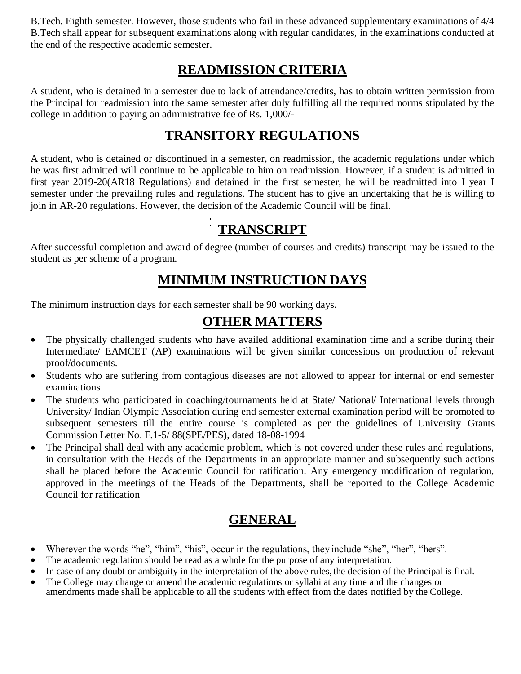B.Tech. Eighth semester. However, those students who fail in these advanced supplementary examinations of 4/4 B.Tech shall appear for subsequent examinations along with regular candidates, in the examinations conducted at the end of the respective academic semester.

### **READMISSION CRITERIA**

A student, who is detained in a semester due to lack of attendance/credits, has to obtain written permission from the Principal for readmission into the same semester after duly fulfilling all the required norms stipulated by the college in addition to paying an administrative fee of Rs. 1,000/-

### **TRANSITORY REGULATIONS**

A student, who is detained or discontinued in a semester, on readmission, the academic regulations under which he was first admitted will continue to be applicable to him on readmission. However, if a student is admitted in first year 2019-20(AR18 Regulations) and detained in the first semester, he will be readmitted into I year I semester under the prevailing rules and regulations. The student has to give an undertaking that he is willing to join in AR-20 regulations. However, the decision of the Academic Council will be final.

### **TRANSCRIPT**

After successful completion and award of degree (number of courses and credits) transcript may be issued to the student as per scheme of a program.

### **MINIMUM INSTRUCTION DAYS**

The minimum instruction days for each semester shall be 90 working days.

### **OTHER MATTERS**

- The physically challenged students who have availed additional examination time and a scribe during their Intermediate/ EAMCET (AP) examinations will be given similar concessions on production of relevant proof/documents.
- Students who are suffering from contagious diseases are not allowed to appear for internal or end semester examinations
- The students who participated in coaching/tournaments held at State/ National/ International levels through University/ Indian Olympic Association during end semester external examination period will be promoted to subsequent semesters till the entire course is completed as per the guidelines of University Grants Commission Letter No. F.1-5/ 88(SPE/PES), dated 18-08-1994
- The Principal shall deal with any academic problem, which is not covered under these rules and regulations, in consultation with the Heads of the Departments in an appropriate manner and subsequently such actions shall be placed before the Academic Council for ratification. Any emergency modification of regulation, approved in the meetings of the Heads of the Departments, shall be reported to the College Academic Council for ratification

### **GENERAL**

- Wherever the words "he", "him", "his", occur in the regulations, they include "she", "her", "hers".
- The academic regulation should be read as a whole for the purpose of any interpretation.
- In case of any doubt or ambiguity in the interpretation of the above rules, the decision of the Principal is final.
- The College may change or amend the academic regulations or syllabi at any time and the changes or amendments made shall be applicable to all the students with effect from the dates notified by the College.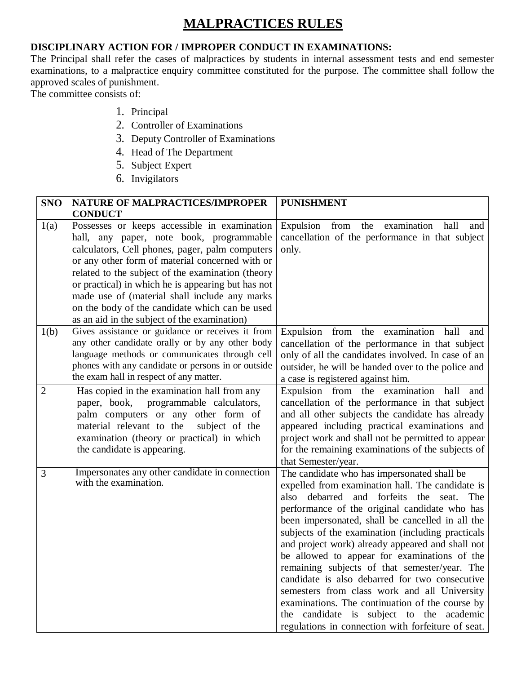### **MALPRACTICES RULES**

#### **DISCIPLINARY ACTION FOR / IMPROPER CONDUCT IN EXAMINATIONS:**

The Principal shall refer the cases of malpractices by students in internal assessment tests and end semester examinations, to a malpractice enquiry committee constituted for the purpose. The committee shall follow the approved scales of punishment.

The committee consists of:

- 1. Principal
- 2. Controller of Examinations
- 3. Deputy Controller of Examinations
- 4. Head of The Department
- 5. Subject Expert
- 6. Invigilators

| <b>SNO</b>     | NATURE OF MALPRACTICES/IMPROPER                                                                                                                                                                                                                                                                                                                                                                                                                              | <b>PUNISHMENT</b>                                                                                                                                                                                                                                                                                                                                                                                                                                                                                                                                                                                                                                                                                                             |
|----------------|--------------------------------------------------------------------------------------------------------------------------------------------------------------------------------------------------------------------------------------------------------------------------------------------------------------------------------------------------------------------------------------------------------------------------------------------------------------|-------------------------------------------------------------------------------------------------------------------------------------------------------------------------------------------------------------------------------------------------------------------------------------------------------------------------------------------------------------------------------------------------------------------------------------------------------------------------------------------------------------------------------------------------------------------------------------------------------------------------------------------------------------------------------------------------------------------------------|
|                | <b>CONDUCT</b>                                                                                                                                                                                                                                                                                                                                                                                                                                               |                                                                                                                                                                                                                                                                                                                                                                                                                                                                                                                                                                                                                                                                                                                               |
| 1(a)           | Possesses or keeps accessible in examination<br>hall, any paper, note book, programmable<br>calculators, Cell phones, pager, palm computers<br>or any other form of material concerned with or<br>related to the subject of the examination (theory<br>or practical) in which he is appearing but has not<br>made use of (material shall include any marks<br>on the body of the candidate which can be used<br>as an aid in the subject of the examination) | Expulsion<br>from<br>examination<br>hall<br>the<br>and<br>cancellation of the performance in that subject<br>only.                                                                                                                                                                                                                                                                                                                                                                                                                                                                                                                                                                                                            |
| 1(b)           | Gives assistance or guidance or receives it from<br>any other candidate orally or by any other body<br>language methods or communicates through cell<br>phones with any candidate or persons in or outside<br>the exam hall in respect of any matter.                                                                                                                                                                                                        | Expulsion from the examination hall and<br>cancellation of the performance in that subject<br>only of all the candidates involved. In case of an<br>outsider, he will be handed over to the police and<br>a case is registered against him.                                                                                                                                                                                                                                                                                                                                                                                                                                                                                   |
| $\overline{2}$ | Has copied in the examination hall from any<br>paper, book, programmable calculators,<br>palm computers or any other form of<br>material relevant to the<br>subject of the<br>examination (theory or practical) in which<br>the candidate is appearing.                                                                                                                                                                                                      | Expulsion from the examination hall<br>and<br>cancellation of the performance in that subject<br>and all other subjects the candidate has already<br>appeared including practical examinations and<br>project work and shall not be permitted to appear<br>for the remaining examinations of the subjects of<br>that Semester/year.                                                                                                                                                                                                                                                                                                                                                                                           |
| 3              | Impersonates any other candidate in connection<br>with the examination.                                                                                                                                                                                                                                                                                                                                                                                      | The candidate who has impersonated shall be<br>expelled from examination hall. The candidate is<br>debarred and forfeits<br>the<br>also<br>seat.<br>The<br>performance of the original candidate who has<br>been impersonated, shall be cancelled in all the<br>subjects of the examination (including practicals<br>and project work) already appeared and shall not<br>be allowed to appear for examinations of the<br>remaining subjects of that semester/year. The<br>candidate is also debarred for two consecutive<br>semesters from class work and all University<br>examinations. The continuation of the course by<br>the candidate is subject to the academic<br>regulations in connection with forfeiture of seat. |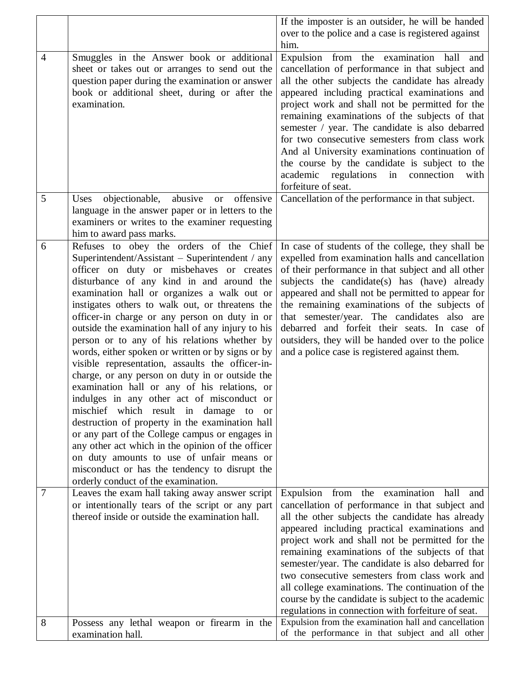|                |                                                                                                                                                                                                                                                                                                                                                                                                                                                                                                                                                                                                                                                                                                                                                                                                                                                                                                                                                                                                                                                              | If the imposter is an outsider, he will be handed                                                                                                                                                                                                                                                                                                                                                                                                                                                                                                                                 |
|----------------|--------------------------------------------------------------------------------------------------------------------------------------------------------------------------------------------------------------------------------------------------------------------------------------------------------------------------------------------------------------------------------------------------------------------------------------------------------------------------------------------------------------------------------------------------------------------------------------------------------------------------------------------------------------------------------------------------------------------------------------------------------------------------------------------------------------------------------------------------------------------------------------------------------------------------------------------------------------------------------------------------------------------------------------------------------------|-----------------------------------------------------------------------------------------------------------------------------------------------------------------------------------------------------------------------------------------------------------------------------------------------------------------------------------------------------------------------------------------------------------------------------------------------------------------------------------------------------------------------------------------------------------------------------------|
|                |                                                                                                                                                                                                                                                                                                                                                                                                                                                                                                                                                                                                                                                                                                                                                                                                                                                                                                                                                                                                                                                              | over to the police and a case is registered against                                                                                                                                                                                                                                                                                                                                                                                                                                                                                                                               |
|                |                                                                                                                                                                                                                                                                                                                                                                                                                                                                                                                                                                                                                                                                                                                                                                                                                                                                                                                                                                                                                                                              | him.                                                                                                                                                                                                                                                                                                                                                                                                                                                                                                                                                                              |
| $\overline{4}$ | Smuggles in the Answer book or additional<br>sheet or takes out or arranges to send out the<br>question paper during the examination or answer<br>book or additional sheet, during or after the<br>examination.                                                                                                                                                                                                                                                                                                                                                                                                                                                                                                                                                                                                                                                                                                                                                                                                                                              | Expulsion from the examination hall and<br>cancellation of performance in that subject and<br>all the other subjects the candidate has already<br>appeared including practical examinations and<br>project work and shall not be permitted for the<br>remaining examinations of the subjects of that<br>semester / year. The candidate is also debarred<br>for two consecutive semesters from class work<br>And al University examinations continuation of<br>the course by the candidate is subject to the<br>academic regulations in connection<br>with<br>forfeiture of seat.  |
| 5              | objectionable,<br>abusive or offensive<br>Uses                                                                                                                                                                                                                                                                                                                                                                                                                                                                                                                                                                                                                                                                                                                                                                                                                                                                                                                                                                                                               | Cancellation of the performance in that subject.                                                                                                                                                                                                                                                                                                                                                                                                                                                                                                                                  |
|                | language in the answer paper or in letters to the                                                                                                                                                                                                                                                                                                                                                                                                                                                                                                                                                                                                                                                                                                                                                                                                                                                                                                                                                                                                            |                                                                                                                                                                                                                                                                                                                                                                                                                                                                                                                                                                                   |
|                | examiners or writes to the examiner requesting                                                                                                                                                                                                                                                                                                                                                                                                                                                                                                                                                                                                                                                                                                                                                                                                                                                                                                                                                                                                               |                                                                                                                                                                                                                                                                                                                                                                                                                                                                                                                                                                                   |
|                | him to award pass marks.                                                                                                                                                                                                                                                                                                                                                                                                                                                                                                                                                                                                                                                                                                                                                                                                                                                                                                                                                                                                                                     |                                                                                                                                                                                                                                                                                                                                                                                                                                                                                                                                                                                   |
| 6              | Refuses to obey the orders of the Chief<br>Superintendent/Assistant – Superintendent / any<br>officer on duty or misbehaves or creates<br>disturbance of any kind in and around the<br>examination hall or organizes a walk out or<br>instigates others to walk out, or threatens the<br>officer-in charge or any person on duty in or<br>outside the examination hall of any injury to his<br>person or to any of his relations whether by<br>words, either spoken or written or by signs or by<br>visible representation, assaults the officer-in-<br>charge, or any person on duty in or outside the<br>examination hall or any of his relations, or<br>indulges in any other act of misconduct or<br>mischief which result in damage to<br><sub>or</sub><br>destruction of property in the examination hall<br>or any part of the College campus or engages in<br>any other act which in the opinion of the officer<br>on duty amounts to use of unfair means or<br>misconduct or has the tendency to disrupt the<br>orderly conduct of the examination. | In case of students of the college, they shall be<br>expelled from examination halls and cancellation<br>of their performance in that subject and all other<br>subjects the candidate(s) has (have) already<br>appeared and shall not be permitted to appear for<br>the remaining examinations of the subjects of<br>that semester/year. The candidates also are<br>debarred and forfeit their seats. In case of<br>outsiders, they will be handed over to the police<br>and a police case is registered against them.                                                            |
| 7              | Leaves the exam hall taking away answer script<br>or intentionally tears of the script or any part<br>thereof inside or outside the examination hall.                                                                                                                                                                                                                                                                                                                                                                                                                                                                                                                                                                                                                                                                                                                                                                                                                                                                                                        | Expulsion from the examination<br>hall<br>and<br>cancellation of performance in that subject and<br>all the other subjects the candidate has already<br>appeared including practical examinations and<br>project work and shall not be permitted for the<br>remaining examinations of the subjects of that<br>semester/year. The candidate is also debarred for<br>two consecutive semesters from class work and<br>all college examinations. The continuation of the<br>course by the candidate is subject to the academic<br>regulations in connection with forfeiture of seat. |
| 8              | Possess any lethal weapon or firearm in the                                                                                                                                                                                                                                                                                                                                                                                                                                                                                                                                                                                                                                                                                                                                                                                                                                                                                                                                                                                                                  | Expulsion from the examination hall and cancellation                                                                                                                                                                                                                                                                                                                                                                                                                                                                                                                              |
|                | examination hall.                                                                                                                                                                                                                                                                                                                                                                                                                                                                                                                                                                                                                                                                                                                                                                                                                                                                                                                                                                                                                                            | of the performance in that subject and all other                                                                                                                                                                                                                                                                                                                                                                                                                                                                                                                                  |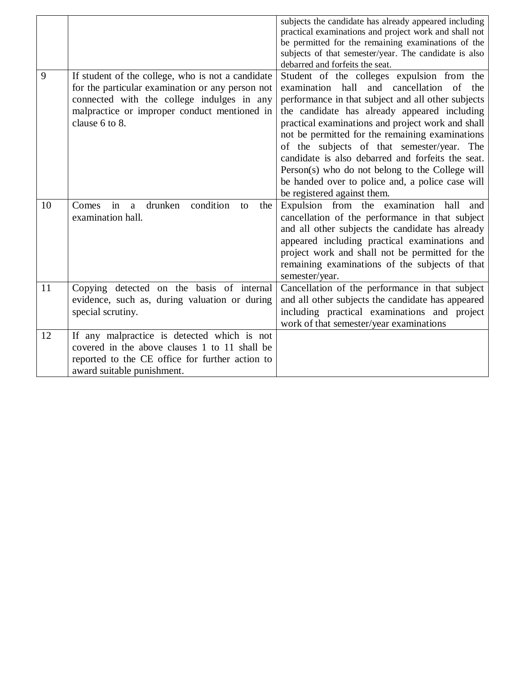|    |                                                                  | subjects the candidate has already appeared including |
|----|------------------------------------------------------------------|-------------------------------------------------------|
|    |                                                                  | practical examinations and project work and shall not |
|    |                                                                  | be permitted for the remaining examinations of the    |
|    |                                                                  | subjects of that semester/year. The candidate is also |
|    |                                                                  | debarred and forfeits the seat.                       |
| 9  | If student of the college, who is not a candidate                | Student of the colleges expulsion from the            |
|    | for the particular examination or any person not                 | examination hall and cancellation of the              |
|    | connected with the college indulges in any                       | performance in that subject and all other subjects    |
|    | malpractice or improper conduct mentioned in                     | the candidate has already appeared including          |
|    | clause 6 to 8.                                                   | practical examinations and project work and shall     |
|    |                                                                  | not be permitted for the remaining examinations       |
|    |                                                                  | of the subjects of that semester/year. The            |
|    |                                                                  | candidate is also debarred and forfeits the seat.     |
|    |                                                                  | Person(s) who do not belong to the College will       |
|    |                                                                  | be handed over to police and, a police case will      |
|    |                                                                  | be registered against them.                           |
| 10 | condition<br>in<br>drunken<br>Comes<br>the<br>$\mathbf{a}$<br>to | Expulsion from the examination hall<br>and            |
|    | examination hall.                                                | cancellation of the performance in that subject       |
|    |                                                                  | and all other subjects the candidate has already      |
|    |                                                                  | appeared including practical examinations and         |
|    |                                                                  | project work and shall not be permitted for the       |
|    |                                                                  | remaining examinations of the subjects of that        |
|    |                                                                  | semester/year.                                        |
| 11 | Copying detected on the basis of internal                        | Cancellation of the performance in that subject       |
|    | evidence, such as, during valuation or during                    | and all other subjects the candidate has appeared     |
|    | special scrutiny.                                                | including practical examinations and project          |
|    |                                                                  |                                                       |
|    |                                                                  | work of that semester/year examinations               |
| 12 | If any malpractice is detected which is not                      |                                                       |
|    | covered in the above clauses 1 to 11 shall be                    |                                                       |
|    | reported to the CE office for further action to                  |                                                       |
|    | award suitable punishment.                                       |                                                       |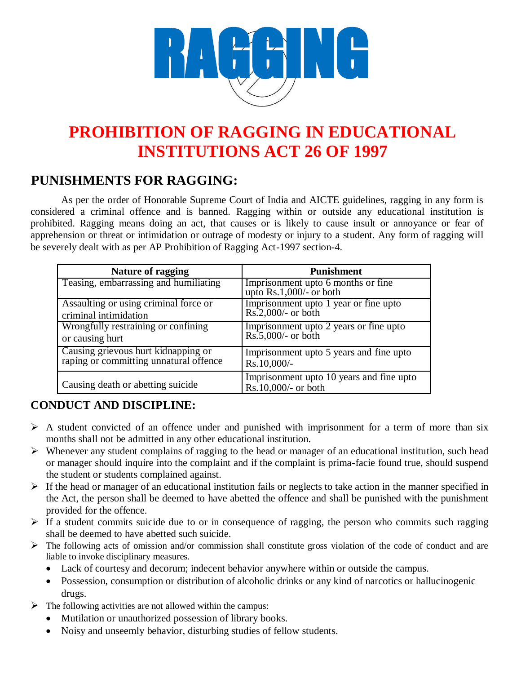

# **PROHIBITION OF RAGGING IN EDUCATIONAL INSTITUTIONS ACT 26 OF 1997**

## **PUNISHMENTS FOR RAGGING:**

As per the order of Honorable Supreme Court of India and AICTE guidelines, ragging in any form is considered a criminal offence and is banned. Ragging within or outside any educational institution is prohibited. Ragging means doing an act, that causes or is likely to cause insult or annoyance or fear of apprehension or threat or intimidation or outrage of modesty or injury to a student. Any form of ragging will be severely dealt with as per AP Prohibition of Ragging Act-1997 section-4.

| <b>Nature of ragging</b>               | <b>Punishment</b>                                               |
|----------------------------------------|-----------------------------------------------------------------|
| Teasing, embarrassing and humiliating  | Imprisonment upto 6 months or fine<br>upto $Rs.1,000/-$ or both |
| Assaulting or using criminal force or  | Imprisonment upto 1 year or fine upto                           |
| criminal intimidation                  | $Rs.2,000/-$ or both                                            |
| Wrongfully restraining or confining    | Imprisonment upto 2 years or fine upto                          |
| or causing hurt                        | $Rs.5,000/-$ or both                                            |
| Causing grievous hurt kidnapping or    | Imprisonment upto 5 years and fine upto                         |
| raping or committing unnatural offence | Rs.10,000/-                                                     |
| Causing death or abetting suicide      | Imprisonment upto 10 years and fine upto<br>Rs.10,000/- or both |

### **CONDUCT AND DISCIPLINE:**

- $\triangleright$  A student convicted of an offence under and punished with imprisonment for a term of more than six months shall not be admitted in any other educational institution.
- $\triangleright$  Whenever any student complains of ragging to the head or manager of an educational institution, such head or manager should inquire into the complaint and if the complaint is prima-facie found true, should suspend the student or students complained against.
- $\triangleright$  If the head or manager of an educational institution fails or neglects to take action in the manner specified in the Act, the person shall be deemed to have abetted the offence and shall be punished with the punishment provided for the offence.
- $\triangleright$  If a student commits suicide due to or in consequence of ragging, the person who commits such ragging shall be deemed to have abetted such suicide.
- $\triangleright$  The following acts of omission and/or commission shall constitute gross violation of the code of conduct and are liable to invoke disciplinary measures.
	- Lack of courtesy and decorum; indecent behavior anywhere within or outside the campus.
	- Possession, consumption or distribution of alcoholic drinks or any kind of narcotics or hallucinogenic drugs.
- $\triangleright$  The following activities are not allowed within the campus:
	- Mutilation or unauthorized possession of library books.
	- Noisy and unseemly behavior, disturbing studies of fellow students.